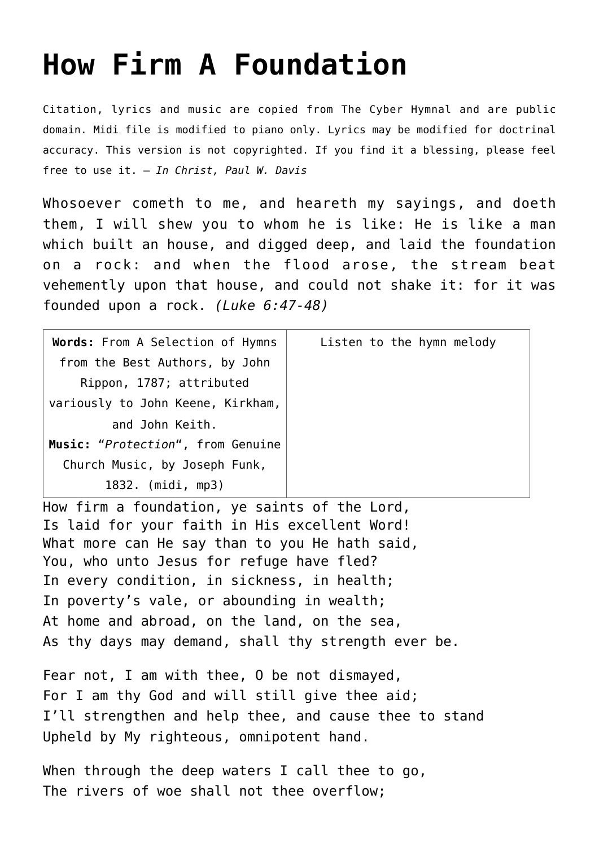## **[How Firm A Foundation](http://reproachofmen.org/hymns-and-music/how-firm-a-foundation/)**

Citation, lyrics and music are copied from [The Cyber Hymnal](http://www.hymntime.com/tch/index.htm) and are public domain. Midi file is modified to piano only. Lyrics may be modified for doctrinal accuracy. This version is not copyrighted. If you find it a blessing, please feel free to use it. — *In Christ, Paul W. Davis*

Whosoever cometh to me, and heareth my sayings, and doeth them, I will shew you to whom he is like: He is like a man which built an house, and digged deep, and laid the foundation on a rock: and when the flood arose, the stream beat vehemently upon that house, and could not shake it: for it was founded upon a rock. *(Luke 6:47-48)*

| Words: From A Selection of Hymns  | Listen to the hymn melody |
|-----------------------------------|---------------------------|
| from the Best Authors, by John    |                           |
| Rippon, 1787; attributed          |                           |
| variously to John Keene, Kirkham, |                           |
| and John Keith.                   |                           |
| Music: "Protection", from Genuine |                           |
| Church Music, by Joseph Funk,     |                           |
| 1832. (midi, mp3)                 |                           |
|                                   |                           |

How firm a foundation, ye saints of the Lord, Is laid for your faith in His excellent Word! What more can He say than to you He hath said, You, who unto Jesus for refuge have fled? In every condition, in sickness, in health; In poverty's vale, or abounding in wealth; At home and abroad, on the land, on the sea, As thy days may demand, shall thy strength ever be.

Fear not, I am with thee, O be not dismayed, For I am thy God and will still give thee aid; I'll strengthen and help thee, and cause thee to stand Upheld by My righteous, omnipotent hand.

When through the deep waters I call thee to go, The rivers of woe shall not thee overflow;